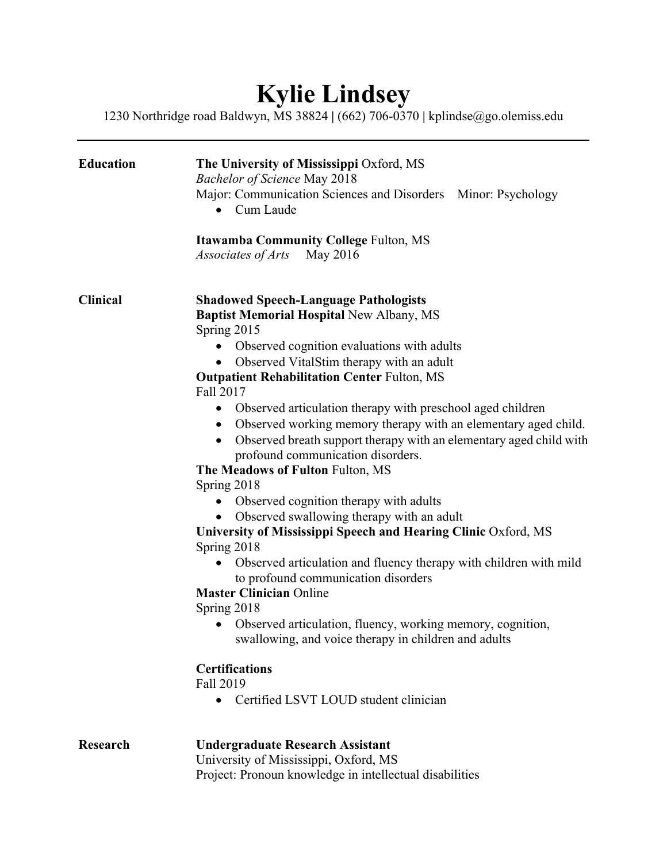## **Kylie Lindsey**

1230 Northridge road Baldwyn, MS 38824 **|** (662) 706-0370 **|** kplindse@go.olemiss.edu

| <b>Education</b> | The University of Mississippi Oxford, MS<br><b>Bachelor of Science May 2018</b><br>Major: Communication Sciences and Disorders Minor: Psychology<br>Cum Laude<br>$\bullet$                                                                                                                                                                                                                                                                                                                                                                                                                                                                                                                                                                                                                                                                                                                                                                                                                                                                                                                                                                                 |
|------------------|------------------------------------------------------------------------------------------------------------------------------------------------------------------------------------------------------------------------------------------------------------------------------------------------------------------------------------------------------------------------------------------------------------------------------------------------------------------------------------------------------------------------------------------------------------------------------------------------------------------------------------------------------------------------------------------------------------------------------------------------------------------------------------------------------------------------------------------------------------------------------------------------------------------------------------------------------------------------------------------------------------------------------------------------------------------------------------------------------------------------------------------------------------|
|                  | <b>Itawamba Community College Fulton, MS</b><br>Associates of Arts<br>May 2016                                                                                                                                                                                                                                                                                                                                                                                                                                                                                                                                                                                                                                                                                                                                                                                                                                                                                                                                                                                                                                                                             |
| <b>Clinical</b>  | <b>Shadowed Speech-Language Pathologists</b><br><b>Baptist Memorial Hospital New Albany, MS</b><br>Spring 2015<br>Observed cognition evaluations with adults<br>Observed VitalStim therapy with an adult<br><b>Outpatient Rehabilitation Center Fulton, MS</b><br>Fall 2017<br>Observed articulation therapy with preschool aged children<br>Observed working memory therapy with an elementary aged child.<br>$\bullet$<br>Observed breath support therapy with an elementary aged child with<br>profound communication disorders.<br>The Meadows of Fulton Fulton, MS<br>Spring 2018<br>Observed cognition therapy with adults<br>Observed swallowing therapy with an adult<br>University of Mississippi Speech and Hearing Clinic Oxford, MS<br>Spring 2018<br>Observed articulation and fluency therapy with children with mild<br>$\bullet$<br>to profound communication disorders<br><b>Master Clinician Online</b><br>Spring 2018<br>Observed articulation, fluency, working memory, cognition,<br>swallowing, and voice therapy in children and adults<br><b>Certifications</b><br>Fall 2019<br>Certified LSVT LOUD student clinician<br>$\bullet$ |
| <b>Research</b>  | <b>Undergraduate Research Assistant</b><br>University of Mississippi, Oxford, MS<br>Project: Pronoun knowledge in intellectual disabilities                                                                                                                                                                                                                                                                                                                                                                                                                                                                                                                                                                                                                                                                                                                                                                                                                                                                                                                                                                                                                |